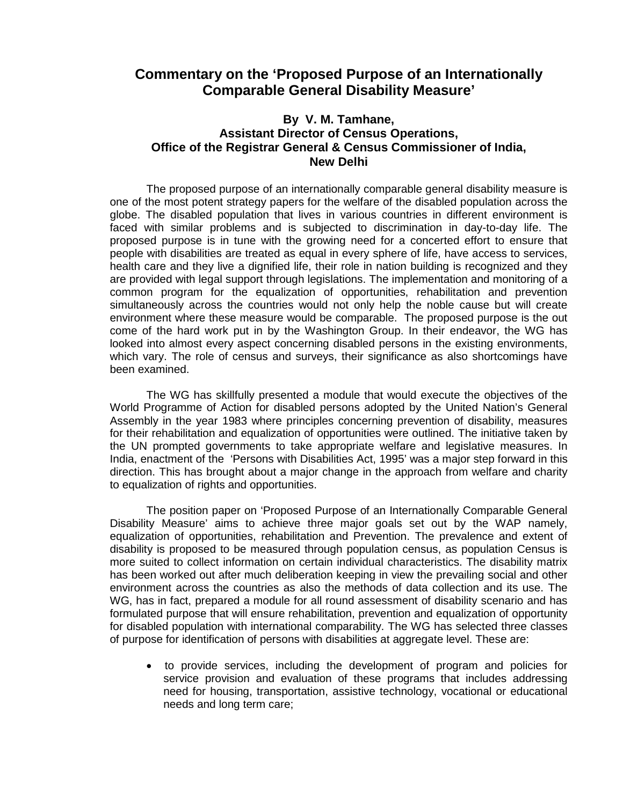## **Commentary on the 'Proposed Purpose of an Internationally Comparable General Disability Measure'**

## **By V. M. Tamhane, Assistant Director of Census Operations, Office of the Registrar General & Census Commissioner of India, New Delhi**

The proposed purpose of an internationally comparable general disability measure is one of the most potent strategy papers for the welfare of the disabled population across the globe. The disabled population that lives in various countries in different environment is faced with similar problems and is subjected to discrimination in day-to-day life. The proposed purpose is in tune with the growing need for a concerted effort to ensure that people with disabilities are treated as equal in every sphere of life, have access to services, health care and they live a dignified life, their role in nation building is recognized and they are provided with legal support through legislations. The implementation and monitoring of a common program for the equalization of opportunities, rehabilitation and prevention simultaneously across the countries would not only help the noble cause but will create environment where these measure would be comparable. The proposed purpose is the out come of the hard work put in by the Washington Group. In their endeavor, the WG has looked into almost every aspect concerning disabled persons in the existing environments, which vary. The role of census and surveys, their significance as also shortcomings have been examined.

The WG has skillfully presented a module that would execute the objectives of the World Programme of Action for disabled persons adopted by the United Nation's General Assembly in the year 1983 where principles concerning prevention of disability, measures for their rehabilitation and equalization of opportunities were outlined. The initiative taken by the UN prompted governments to take appropriate welfare and legislative measures. In India, enactment of the 'Persons with Disabilities Act, 1995' was a major step forward in this direction. This has brought about a major change in the approach from welfare and charity to equalization of rights and opportunities.

The position paper on 'Proposed Purpose of an Internationally Comparable General Disability Measure' aims to achieve three major goals set out by the WAP namely, equalization of opportunities, rehabilitation and Prevention. The prevalence and extent of disability is proposed to be measured through population census, as population Census is more suited to collect information on certain individual characteristics. The disability matrix has been worked out after much deliberation keeping in view the prevailing social and other environment across the countries as also the methods of data collection and its use. The WG, has in fact, prepared a module for all round assessment of disability scenario and has formulated purpose that will ensure rehabilitation, prevention and equalization of opportunity for disabled population with international comparability. The WG has selected three classes of purpose for identification of persons with disabilities at aggregate level. These are:

• to provide services, including the development of program and policies for service provision and evaluation of these programs that includes addressing need for housing, transportation, assistive technology, vocational or educational needs and long term care;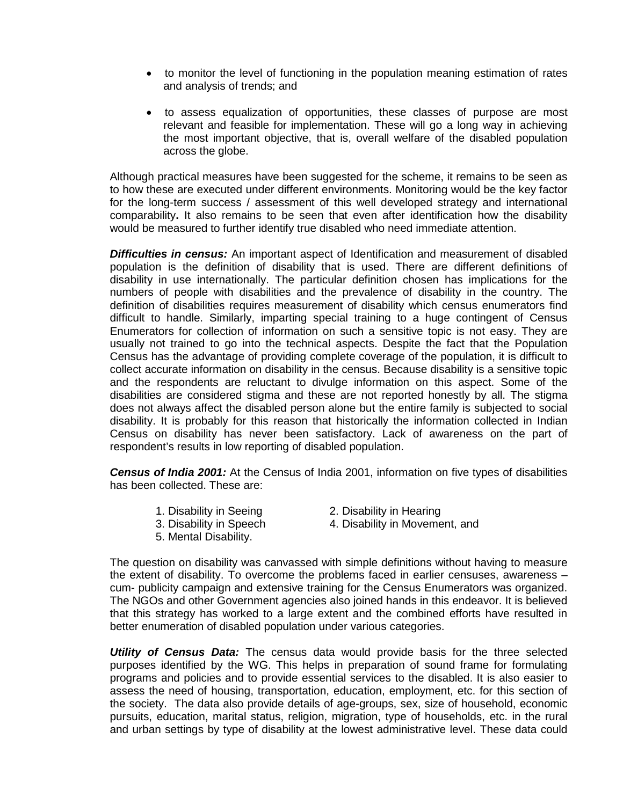- to monitor the level of functioning in the population meaning estimation of rates and analysis of trends; and
- to assess equalization of opportunities, these classes of purpose are most relevant and feasible for implementation. These will go a long way in achieving the most important objective, that is, overall welfare of the disabled population across the globe.

Although practical measures have been suggested for the scheme, it remains to be seen as to how these are executed under different environments. Monitoring would be the key factor for the long-term success / assessment of this well developed strategy and international comparability**.** It also remains to be seen that even after identification how the disability would be measured to further identify true disabled who need immediate attention.

*Difficulties in census:* An important aspect of Identification and measurement of disabled population is the definition of disability that is used. There are different definitions of disability in use internationally. The particular definition chosen has implications for the numbers of people with disabilities and the prevalence of disability in the country. The definition of disabilities requires measurement of disability which census enumerators find difficult to handle. Similarly, imparting special training to a huge contingent of Census Enumerators for collection of information on such a sensitive topic is not easy. They are usually not trained to go into the technical aspects. Despite the fact that the Population Census has the advantage of providing complete coverage of the population, it is difficult to collect accurate information on disability in the census. Because disability is a sensitive topic and the respondents are reluctant to divulge information on this aspect. Some of the disabilities are considered stigma and these are not reported honestly by all. The stigma does not always affect the disabled person alone but the entire family is subjected to social disability. It is probably for this reason that historically the information collected in Indian Census on disability has never been satisfactory. Lack of awareness on the part of respondent's results in low reporting of disabled population.

*Census of India 2001:* At the Census of India 2001, information on five types of disabilities has been collected. These are:

- 
- 1. Disability in Seeing 2. Disability in Hearing
- 
- 5. Mental Disability.
- 3. Disability in Speech 4. Disability in Movement, and

The question on disability was canvassed with simple definitions without having to measure the extent of disability. To overcome the problems faced in earlier censuses, awareness – cum- publicity campaign and extensive training for the Census Enumerators was organized. The NGOs and other Government agencies also joined hands in this endeavor. It is believed that this strategy has worked to a large extent and the combined efforts have resulted in better enumeration of disabled population under various categories.

*Utility of Census Data:* The census data would provide basis for the three selected purposes identified by the WG. This helps in preparation of sound frame for formulating programs and policies and to provide essential services to the disabled. It is also easier to assess the need of housing, transportation, education, employment, etc. for this section of the society. The data also provide details of age-groups, sex, size of household, economic pursuits, education, marital status, religion, migration, type of households, etc. in the rural and urban settings by type of disability at the lowest administrative level. These data could